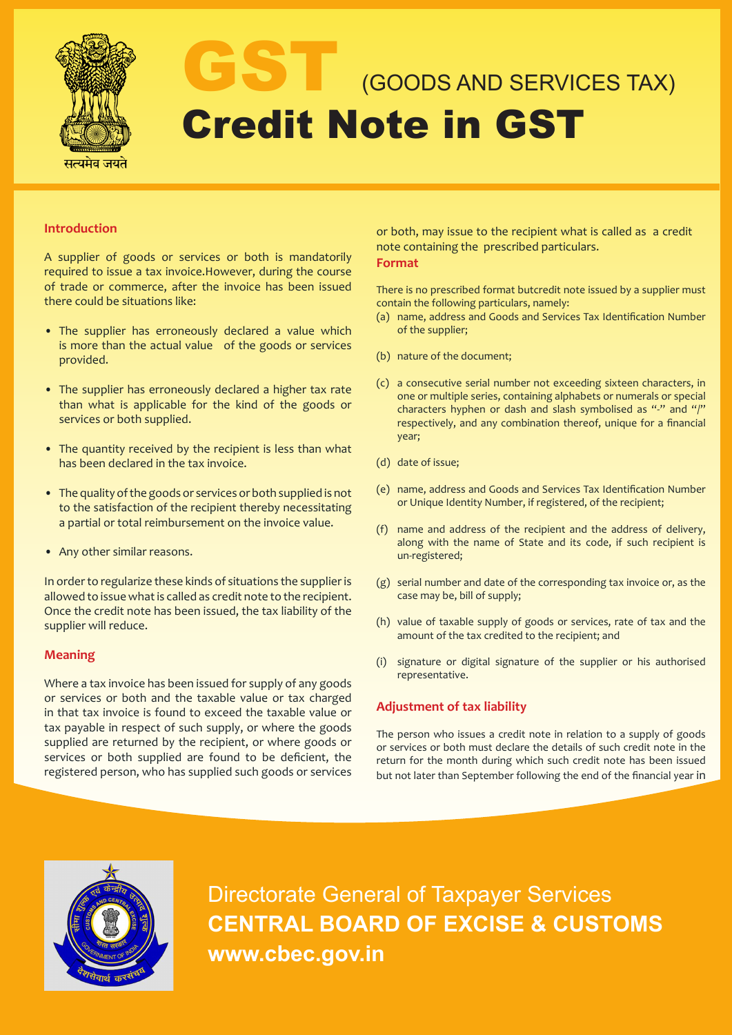

# GOODS AND SERVICES TAX) Credit Note in GST

### **Introduction**

A supplier of goods or services or both is mandatorily required to issue a tax invoice.However, during the course of trade or commerce, after the invoice has been issued there could be situations like:

- The supplier has erroneously declared a value which is more than the actual value of the goods or services provided.
- The supplier has erroneously declared a higher tax rate than what is applicable for the kind of the goods or services or both supplied.
- The quantity received by the recipient is less than what has been declared in the tax invoice.
- The quality of the goods or services or both supplied is not to the satisfaction of the recipient thereby necessitating a partial or total reimbursement on the invoice value.
- Any other similar reasons.

In order to regularize these kinds of situations the supplier is allowed to issue what is called as credit note to the recipient. Once the credit note has been issued, the tax liability of the supplier will reduce.

#### **Meaning**

Where a tax invoice has been issued for supply of any goods or services or both and the taxable value or tax charged in that tax invoice is found to exceed the taxable value or tax payable in respect of such supply, or where the goods supplied are returned by the recipient, or where goods or services or both supplied are found to be deficient, the registered person, who has supplied such goods or services or both, may issue to the recipient what is called as a credit note containing the prescribed particulars.

### **Format**

There is no prescribed format butcredit note issued by a supplier must contain the following particulars, namely:

- (a) name, address and Goods and Services Tax Identification Number of the supplier;
- (b) nature of the document;
- (c) a consecutive serial number not exceeding sixteen characters, in one or multiple series, containing alphabets or numerals or special characters hyphen or dash and slash symbolised as "-" and "/" respectively, and any combination thereof, unique for a financial year;
- (d) date of issue;
- (e) name, address and Goods and Services Tax Identification Number or Unique Identity Number, if registered, of the recipient;
- (f) name and address of the recipient and the address of delivery, along with the name of State and its code, if such recipient is un-registered;
- (g) serial number and date of the corresponding tax invoice or, as the case may be, bill of supply;
- (h) value of taxable supply of goods or services, rate of tax and the amount of the tax credited to the recipient; and
- (i) signature or digital signature of the supplier or his authorised representative.

### **Adjustment of tax liability**

The person who issues a credit note in relation to a supply of goods or services or both must declare the details of such credit note in the return for the month during which such credit note has been issued but not later than September following the end of the financial year in



Directorate General of Taxpayer Services **CENTRAL BOARD OF EXCISE & CUSTOMS www.cbec.gov.in**